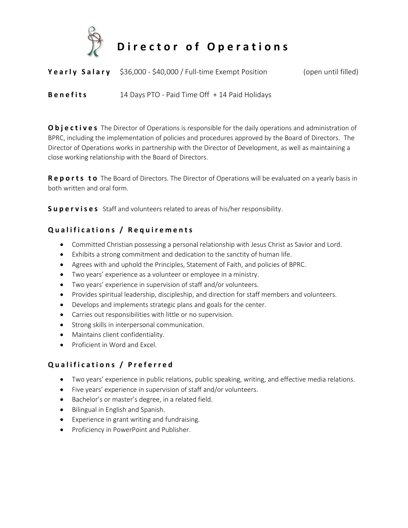

**Director of Operations** 

**Yearly Salary** \$36,000 - \$40,000 / Full-time Exempt Position (open until filled)

**B e n e fits** 14 Days PTO - Paid Time Off + 14 Paid Holidays

**O bjectives** The Director of Operations is responsible for the daily operations and administration of BPRC, including the implementation of policies and procedures approved by the Board of Directors. The Director of Operations works in partnership with the Director of Development, as well as maintaining a close working relationship with the Board of Directors.

**Reports to** The Board of Directors. The Director of Operations will be evaluated on a yearly basis in both written and oral form.

**Supervises** Staff and volunteers related to areas of his/her responsibility.

# **Q u a l i f i c a t i o n s / R e q u i r e m e n t s**

- Committed Christian possessing a personal relationship with Jesus Christ as Savior and Lord.
- Exhibits a strong commitment and dedication to the sanctity of human life.
- Agrees with and uphold the Principles, Statement of Faith, and policies of BPRC.
- Two years' experience as a volunteer or employee in a ministry.
- Two years' experience in supervision of staff and/or volunteers.
- Provides spiritual leadership, discipleship, and direction for staff members and volunteers.
- Develops and implements strategic plans and goals for the center.
- Carries out responsibilities with little or no supervision.
- Strong skills in interpersonal communication.
- Maintains client confidentiality.
- Proficient in Word and Excel.

# **Q u a l i f i c a t i o n s / P r e f e r r e d**

- Two years' experience in public relations, public speaking, writing, and effective media relations.
- Five years' experience in supervision of staff and/or volunteers.
- Bachelor's or master's degree, in a related field.
- Bilingual in English and Spanish.
- Experience in grant writing and fundraising.
- Proficiency in PowerPoint and Publisher.